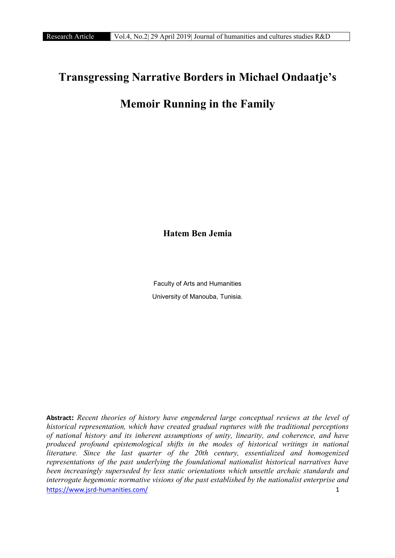## Transgressing Narrative Borders in Michael Ondaatje's

## Memoir Running in the Family

Hatem Ben Jemia

Faculty of Arts and Humanities University of Manouba, Tunisia.

https://www.jsrd-humanities.com/ 1 **Abstract**: *Recent theories of history have engendered large conceptual reviews at the level of historical representation, which have created gradual ruptures with the traditional perceptions of national history and its inherent assumptions of unity, linearity, and coherence, and have produced profound epistemological shifts in the modes of historical writings in national literature. Since the last quarter of the 20th century, essentialized and homogenized representations of the past underlying the foundational nationalist historical narratives have been increasingly superseded by less static orientations which unsettle archaic standards and interrogate hegemonic normative visions of the past established by the nationalist enterprise and*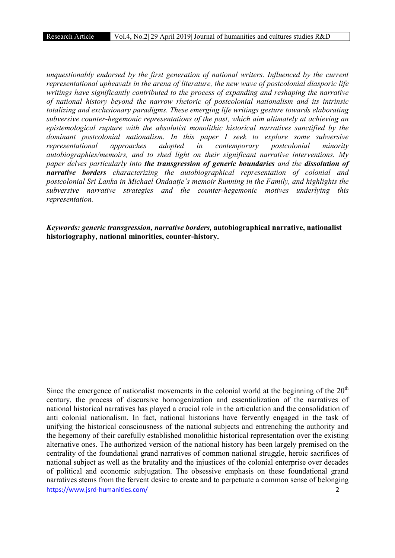*unquestionably endorsed by the first generation of national writers. Influenced by the current representational upheavals in the arena of literature, the new wave of postcolonial diasporic life writings have significantly contributed to the process of expanding and reshaping the narrative of national history beyond the narrow rhetoric of postcolonial nationalism and its intrinsic totalizing and exclusionary paradigms. These emerging life writings gesture towards elaborating subversive counter-hegemonic representations of the past, which aim ultimately at achieving an epistemological rupture with the absolutist monolithic historical narratives sanctified by the dominant postcolonial nationalism. In this paper I seek to explore some subversive representational approaches adopted in contemporary postcolonial minority autobiographies/memoirs, and to shed light on their significant narrative interventions. My paper delves particularly into the transgression of generic boundaries and the dissolution of narrative borders characterizing the autobiographical representation of colonial and postcolonial Sri Lanka in Michael Ondaatje's memoir Running in the Family, and highlights the subversive narrative strategies and the counter-hegemonic motives underlying this representation.* 

*Keywords: generic transgression, narrative borders,* autobiographical narrative, nationalist historiography, national minorities, counter-history.

https://www.jsrd-humanities.com/ 2 Since the emergence of nationalist movements in the colonial world at the beginning of the  $20<sup>th</sup>$ century, the process of discursive homogenization and essentialization of the narratives of national historical narratives has played a crucial role in the articulation and the consolidation of anti colonial nationalism. In fact, national historians have fervently engaged in the task of unifying the historical consciousness of the national subjects and entrenching the authority and the hegemony of their carefully established monolithic historical representation over the existing alternative ones. The authorized version of the national history has been largely premised on the centrality of the foundational grand narratives of common national struggle, heroic sacrifices of national subject as well as the brutality and the injustices of the colonial enterprise over decades of political and economic subjugation. The obsessive emphasis on these foundational grand narratives stems from the fervent desire to create and to perpetuate a common sense of belonging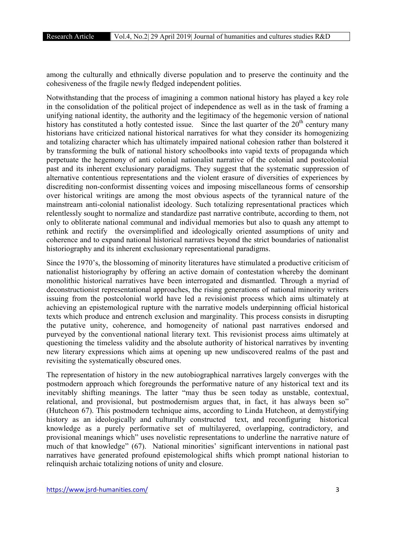among the culturally and ethnically diverse population and to preserve the continuity and the cohesiveness of the fragile newly fledged independent polities.

Notwithstanding that the process of imagining a common national history has played a key role in the consolidation of the political project of independence as well as in the task of framing a unifying national identity, the authority and the legitimacy of the hegemonic version of national history has constituted a hotly contested issue. Since the last quarter of the 20<sup>th</sup> century many historians have criticized national historical narratives for what they consider its homogenizing and totalizing character which has ultimately impaired national cohesion rather than bolstered it by transforming the bulk of national history schoolbooks into vapid texts of propaganda which perpetuate the hegemony of anti colonial nationalist narrative of the colonial and postcolonial past and its inherent exclusionary paradigms. They suggest that the systematic suppression of alternative contentious representations and the violent erasure of diversities of experiences by discrediting non-conformist dissenting voices and imposing miscellaneous forms of censorship over historical writings are among the most obvious aspects of the tyrannical nature of the mainstream anti-colonial nationalist ideology. Such totalizing representational practices which relentlessly sought to normalize and standardize past narrative contribute, according to them, not only to obliterate national communal and individual memories but also to quash any attempt to rethink and rectify the oversimplified and ideologically oriented assumptions of unity and coherence and to expand national historical narratives beyond the strict boundaries of nationalist historiography and its inherent exclusionary representational paradigms.

Since the 1970's, the blossoming of minority literatures have stimulated a productive criticism of nationalist historiography by offering an active domain of contestation whereby the dominant monolithic historical narratives have been interrogated and dismantled. Through a myriad of deconstructionist representational approaches, the rising generations of national minority writers issuing from the postcolonial world have led a revisionist process which aims ultimately at achieving an epistemological rupture with the narrative models underpinning official historical texts which produce and entrench exclusion and marginality. This process consists in disrupting the putative unity, coherence, and homogeneity of national past narratives endorsed and purveyed by the conventional national literary text. This revisionist process aims ultimately at questioning the timeless validity and the absolute authority of historical narratives by inventing new literary expressions which aims at opening up new undiscovered realms of the past and revisiting the systematically obscured ones.

The representation of history in the new autobiographical narratives largely converges with the postmodern approach which foregrounds the performative nature of any historical text and its inevitably shifting meanings. The latter "may thus be seen today as unstable, contextual, relational, and provisional, but postmodernism argues that, in fact, it has always been so" (Hutcheon 67). This postmodern technique aims, according to Linda Hutcheon, at demystifying history as an ideologically and culturally constructed text, and reconfiguring historical knowledge as a purely performative set of multilayered, overlapping, contradictory, and provisional meanings which" uses novelistic representations to underline the narrative nature of much of that knowledge" (67). National minorities' significant interventions in national past narratives have generated profound epistemological shifts which prompt national historian to relinquish archaic totalizing notions of unity and closure.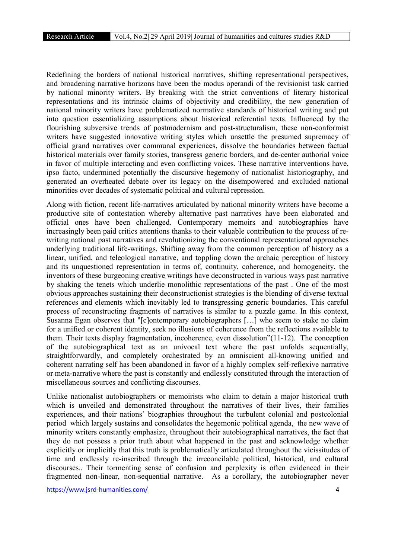Redefining the borders of national historical narratives, shifting representational perspectives, and broadening narrative horizons have been the modus operandi of the revisionist task carried by national minority writers. By breaking with the strict conventions of literary historical representations and its intrinsic claims of objectivity and credibility, the new generation of national minority writers have problematized normative standards of historical writing and put into question essentializing assumptions about historical referential texts. Influenced by the flourishing subversive trends of postmodernism and post-structuralism, these non-conformist writers have suggested innovative writing styles which unsettle the presumed supremacy of official grand narratives over communal experiences, dissolve the boundaries between factual historical materials over family stories, transgress generic borders, and de-center authorial voice in favor of multiple interacting and even conflicting voices. These narrative interventions have, ipso facto, undermined potentially the discursive hegemony of nationalist historiography, and generated an overheated debate over its legacy on the disempowered and excluded national minorities over decades of systematic political and cultural repression.

Along with fiction, recent life-narratives articulated by national minority writers have become a productive site of contestation whereby alternative past narratives have been elaborated and official ones have been challenged. Contemporary memoirs and autobiographies have increasingly been paid critics attentions thanks to their valuable contribution to the process of rewriting national past narratives and revolutionizing the conventional representational approaches underlying traditional life-writings. Shifting away from the common perception of history as a linear, unified, and teleological narrative, and toppling down the archaic perception of history and its unquestioned representation in terms of, continuity, coherence, and homogeneity, the inventors of these burgeoning creative writings have deconstructed in various ways past narrative by shaking the tenets which underlie monolithic representations of the past . One of the most obvious approaches sustaining their deconstructionist strategies is the blending of diverse textual references and elements which inevitably led to transgressing generic boundaries. This careful process of reconstructing fragments of narratives is similar to a puzzle game. In this context, Susanna Egan observes that "[c]ontemporary autobiographers […] who seem to stake no claim for a unified or coherent identity, seek no illusions of coherence from the reflections available to them. Their texts display fragmentation, incoherence, even dissolution"(11-12). The conception of the autobiographical text as an univocal text where the past unfolds sequentially, straightforwardly, and completely orchestrated by an omniscient all-knowing unified and coherent narrating self has been abandoned in favor of a highly complex self-reflexive narrative or meta-narrative where the past is constantly and endlessly constituted through the interaction of miscellaneous sources and conflicting discourses.

Unlike nationalist autobiographers or memoirists who claim to detain a major historical truth which is unveiled and demonstrated throughout the narratives of their lives, their families experiences, and their nations' biographies throughout the turbulent colonial and postcolonial period which largely sustains and consolidates the hegemonic political agenda, the new wave of minority writers constantly emphasize, throughout their autobiographical narratives, the fact that they do not possess a prior truth about what happened in the past and acknowledge whether explicitly or implicitly that this truth is problematically articulated throughout the vicissitudes of time and endlessly re-inscribed through the irreconcilable political, historical, and cultural discourses.. Their tormenting sense of confusion and perplexity is often evidenced in their fragmented non-linear, non-sequential narrative. As a corollary, the autobiographer never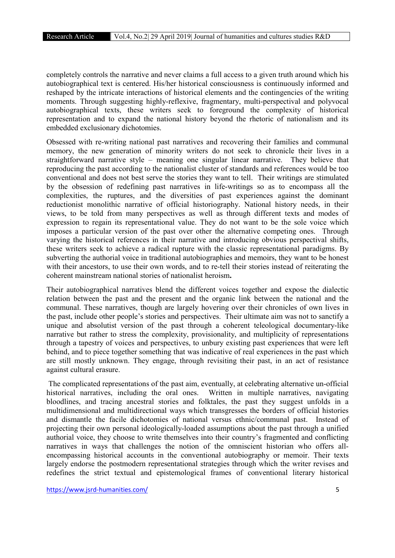completely controls the narrative and never claims a full access to a given truth around which his autobiographical text is centered. His/her historical consciousness is continuously informed and reshaped by the intricate interactions of historical elements and the contingencies of the writing moments. Through suggesting highly-reflexive, fragmentary, multi-perspectival and polyvocal autobiographical texts, these writers seek to foreground the complexity of historical representation and to expand the national history beyond the rhetoric of nationalism and its embedded exclusionary dichotomies.

Obsessed with re-writing national past narratives and recovering their families and communal memory, the new generation of minority writers do not seek to chronicle their lives in a straightforward narrative style – meaning one singular linear narrative. They believe that reproducing the past according to the nationalist cluster of standards and references would be too conventional and does not best serve the stories they want to tell. Their writings are stimulated by the obsession of redefining past narratives in life-writings so as to encompass all the complexities, the ruptures, and the diversities of past experiences against the dominant reductionist monolithic narrative of official historiography. National history needs, in their views, to be told from many perspectives as well as through different texts and modes of expression to regain its representational value. They do not want to be the sole voice which imposes a particular version of the past over other the alternative competing ones. Through varying the historical references in their narrative and introducing obvious perspectival shifts, these writers seek to achieve a radical rupture with the classic representational paradigms. By subverting the authorial voice in traditional autobiographies and memoirs, they want to be honest with their ancestors, to use their own words, and to re-tell their stories instead of reiterating the coherent mainstream national stories of nationalist heroism.

Their autobiographical narratives blend the different voices together and expose the dialectic relation between the past and the present and the organic link between the national and the communal. These narratives, though are largely hovering over their chronicles of own lives in the past, include other people's stories and perspectives. Their ultimate aim was not to sanctify a unique and absolutist version of the past through a coherent teleological documentary-like narrative but rather to stress the complexity, provisionality, and multiplicity of representations through a tapestry of voices and perspectives, to unbury existing past experiences that were left behind, and to piece together something that was indicative of real experiences in the past which are still mostly unknown. They engage, through revisiting their past, in an act of resistance against cultural erasure.

The complicated representations of the past aim, eventually, at celebrating alternative un-official historical narratives, including the oral ones. Written in multiple narratives, navigating bloodlines, and tracing ancestral stories and folktales, the past they suggest unfolds in a multidimensional and multidirectional ways which transgresses the borders of official histories and dismantle the facile dichotomies of national versus ethnic/communal past. Instead of projecting their own personal ideologically-loaded assumptions about the past through a unified authorial voice, they choose to write themselves into their country's fragmented and conflicting narratives in ways that challenges the notion of the omniscient historian who offers allencompassing historical accounts in the conventional autobiography or memoir. Their texts largely endorse the postmodern representational strategies through which the writer revises and redefines the strict textual and epistemological frames of conventional literary historical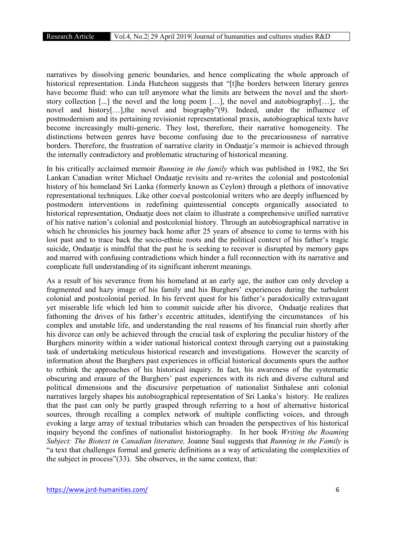narratives by dissolving generic boundaries, and hence complicating the whole approach of historical representation. Linda Hutcheon suggests that "[t]he borders between literary genres have become fluid: who can tell anymore what the limits are between the novel and the shortstory collection [...] the novel and the long poem […], the novel and autobiography[…],. the novel and history[…],the novel and biography"(9). Indeed, under the influence of postmodernism and its pertaining revisionist representational praxis, autobiographical texts have become increasingly multi-generic. They lost, therefore, their narrative homogeneity. The distinctions between genres have become confusing due to the precariousness of narrative borders. Therefore, the frustration of narrative clarity in Ondaatje's memoir is achieved through the internally contradictory and problematic structuring of historical meaning.

In his critically acclaimed memoir *Running in the family* which was published in 1982, the Sri Lankan Canadian writer Michael Ondaatje revisits and re-writes the colonial and postcolonial history of his homeland Sri Lanka (formerly known as Ceylon) through a plethora of innovative representational techniques. Like other coeval postcolonial writers who are deeply influenced by postmodern interventions in redefining quintessential concepts organically associated to historical representation, Ondaatje does not claim to illustrate a comprehensive unified narrative of his native nation's colonial and postcolonial history. Through an autobiographical narrative in which he chronicles his journey back home after 25 years of absence to come to terms with his lost past and to trace back the socio-ethnic roots and the political context of his father's tragic suicide, Ondaatje is mindful that the past he is seeking to recover is disrupted by memory gaps and marred with confusing contradictions which hinder a full reconnection with its narrative and complicate full understanding of its significant inherent meanings.

As a result of his severance from his homeland at an early age, the author can only develop a fragmented and hazy image of his family and his Burghers' experiences during the turbulent colonial and postcolonial period. In his fervent quest for his father's paradoxically extravagant yet miserable life which led him to commit suicide after his divorce, Ondaatje realizes that fathoming the drives of his father's eccentric attitudes, identifying the circumstances of his complex and unstable life, and understanding the real reasons of his financial ruin shortly after his divorce can only be achieved through the crucial task of exploring the peculiar history of the Burghers minority within a wider national historical context through carrying out a painstaking task of undertaking meticulous historical research and investigations. However the scarcity of information about the Burghers past experiences in official historical documents spurs the author to rethink the approaches of his historical inquiry. In fact, his awareness of the systematic obscuring and erasure of the Burghers' past experiences with its rich and diverse cultural and political dimensions and the discursive perpetuation of nationalist Sinhalese anti colonial narratives largely shapes his autobiographical representation of Sri Lanka's history. He realizes that the past can only be partly grasped through referring to a host of alternative historical sources, through recalling a complex network of multiple conflicting voices, and through evoking a large array of textual tributaries which can broaden the perspectives of his historical inquiry beyond the confines of nationalist historiography. In her book *Writing the Roaming Subject: The Biotext in Canadian literature,* Joanne Saul suggests that *Running in the Family* is "a text that challenges formal and generic definitions as a way of articulating the complexities of the subject in process"(33). She observes, in the same context, that: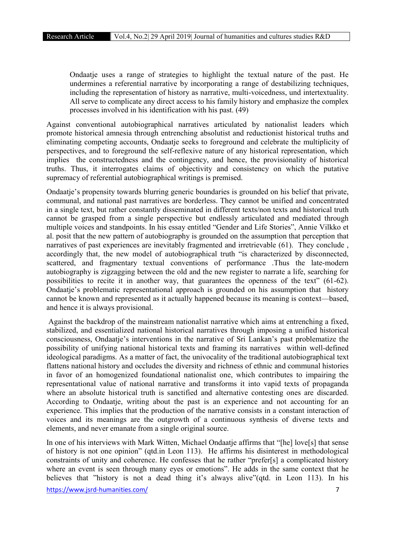Ondaatje uses a range of strategies to highlight the textual nature of the past. He undermines a referential narrative by incorporating a range of destabilizing techniques, including the representation of history as narrative, multi-voicedness, und intertextuality. All serve to complicate any direct access to his family history and emphasize the complex processes involved in his identification with his past. (49)

Against conventional autobiographical narratives articulated by nationalist leaders which promote historical amnesia through entrenching absolutist and reductionist historical truths and eliminating competing accounts. Ondaatie seeks to foreground and celebrate the multiplicity of perspectives, and to foreground the self-reflexive nature of any historical representation, which implies the constructedness and the contingency, and hence, the provisionality of historical truths. Thus, it interrogates claims of objectivity and consistency on which the putative supremacy of referential autobiographical writings is premised.

Ondaatje's propensity towards blurring generic boundaries is grounded on his belief that private, communal, and national past narratives are borderless. They cannot be unified and concentrated in a single text, but rather constantly disseminated in different texts/non texts and historical truth cannot be grasped from a single perspective but endlessly articulated and mediated through multiple voices and standpoints. In his essay entitled "Gender and Life Stories", Annie Vilkko et al. posit that the new pattern of autobiography is grounded on the assumption that perception that narratives of past experiences are inevitably fragmented and irretrievable (61). They conclude, accordingly that, the new model of autobiographical truth "is characterized by disconnected, scattered, and fragmentary textual conventions of performance .Thus the late-modern autobiography is zigzagging between the old and the new register to narrate a life, searching for possibilities to recite it in another way, that guarantees the openness of the text" (61-62). Ondaatje's problematic representational approach is grounded on his assumption that history cannot be known and represented as it actually happened because its meaning is context—based, and hence it is always provisional.

Against the backdrop of the mainstream nationalist narrative which aims at entrenching a fixed, stabilized, and essentialized national historical narratives through imposing a unified historical consciousness, Ondaatje's interventions in the narrative of Sri Lankan's past problematize the possibility of unifying national historical texts and framing its narratives within well-defined ideological paradigms. As a matter of fact, the univocality of the traditional autobiographical text flattens national history and occludes the diversity and richness of ethnic and communal histories in favor of an homogenized foundational nationalist one, which contributes to impairing the representational value of national narrative and transforms it into vapid texts of propaganda where an absolute historical truth is sanctified and alternative contesting ones are discarded. According to Ondaatje, writing about the past is an experience and not accounting for an experience. This implies that the production of the narrative consists in a constant interaction of voices and its meanings are the outgrowth of a continuous synthesis of diverse texts and elements, and never emanate from a single original source.

In one of his interviews with Mark Witten, Michael Ondaatje affirms that "[he] love[s] that sense of history is not one opinion" (qtd.in Leon 113). He affirms his disinterest in methodological constraints of unity and coherence. He confesses that he rather "prefer[s] a complicated history where an event is seen through many eyes or emotions". He adds in the same context that he believes that "history is not a dead thing it's always alive"(qtd. in Leon 113). In his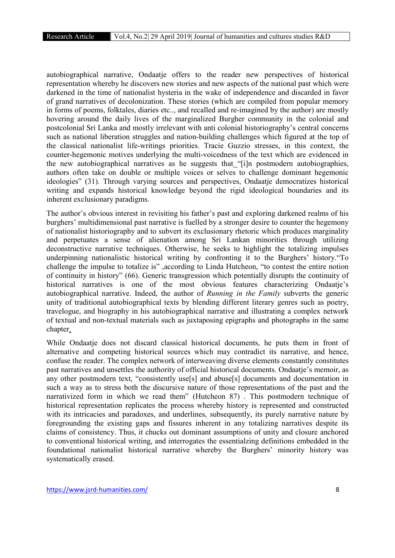autobiographical narrative, Ondaatje offers to the reader new perspectives of historical representation whereby he discovers new stories and new aspects of the national past which were darkened in the time of nationalist hysteria in the wake of independence and discarded in favor of grand narratives of decolonization. These stories (which are compiled from popular memory in forms of poems, folktales, diaries etc.., and recalled and re-imagined by the author) are mostly hovering around the daily lives of the marginalized Burgher community in the colonial and postcolonial Sri Lanka and mostly irrelevant with anti colonial historiography's central concerns such as national liberation struggles and nation-building challenges which figured at the top of the classical nationalist life-writings priorities. Tracie Guzzio stresses, in this context, the counter-hegemonic motives underlying the multi-voicedness of the text which are evidenced in the new autobiographical narratives as he suggests that "[i]n postmodern autobiographies, authors often take on double or multiple voices or selves to challenge dominant hegemonic ideologies" (31). Through varying sources and perspectives, Ondaatje democratizes historical writing and expands historical knowledge beyond the rigid ideological boundaries and its inherent exclusionary paradigms.

The author's obvious interest in revisiting his father's past and exploring darkened realms of his burghers' multidimensional past narrative is fuelled by a stronger desire to counter the hegemony of nationalist historiography and to subvert its exclusionary rhetoric which produces marginality and perpetuates a sense of alienation among Sri Lankan minorities through utilizing deconstructive narrative techniques. Otherwise, he seeks to highlight the totalizing impulses underpinning nationalistic historical writing by confronting it to the Burghers' history."To challenge the impulse to totalize is" ,according to Linda Hutcheon, "to contest the entire notion of continuity in history" (66). Generic transgression which potentially disrupts the continuity of historical narratives is one of the most obvious features characterizing Ondaatje's autobiographical narrative. Indeed, the author of *Running in the Family* subverts the generic unity of traditional autobiographical texts by blending different literary genres such as poetry, travelogue, and biography in his autobiographical narrative and illustrating a complex network of textual and non-textual materials such as juxtaposing epigraphs and photographs in the same chapter.

While Ondaatje does not discard classical historical documents, he puts them in front of alternative and competing historical sources which may contradict its narrative, and hence, confuse the reader. The complex network of interweaving diverse elements constantly constitutes past narratives and unsettles the authority of official historical documents. Ondaatje's memoir, as any other postmodern text, "consistently use[s] and abuse[s] documents and documentation in such a way as to stress both the discursive nature of those representations of the past and the narrativized form in which we read them" (Hutcheon 87) . This postmodern technique of historical representation replicates the process whereby history is represented and constructed with its intricacies and paradoxes, and underlines, subsequently, its purely narrative nature by foregrounding the existing gaps and fissures inherent in any totalizing narratives despite its claims of consistency. Thus, it chucks out dominant assumptions of unity and closure anchored to conventional historical writing, and interrogates the essentialzing definitions embedded in the foundational nationalist historical narrative whereby the Burghers' minority history was systematically erased.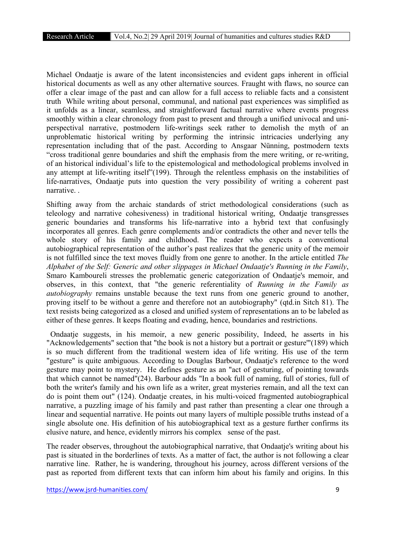Michael Ondaatje is aware of the latent inconsistencies and evident gaps inherent in official historical documents as well as any other alternative sources. Fraught with flaws, no source can offer a clear image of the past and can allow for a full access to reliable facts and a consistent truth While writing about personal, communal, and national past experiences was simplified as it unfolds as a linear, seamless, and straightforward factual narrative where events progress smoothly within a clear chronology from past to present and through a unified univocal and uniperspectival narrative, postmodern life-writings seek rather to demolish the myth of an unproblematic historical writing by performing the intrinsic intricacies underlying any representation including that of the past. According to Ansgaar Nünning, postmodern texts "cross traditional genre boundaries and shift the emphasis from the mere writing, or re-writing, of an historical individual's life to the epistemological and methodological problems involved in any attempt at life-writing itself"(199). Through the relentless emphasis on the instabilities of life-narratives, Ondaatje puts into question the very possibility of writing a coherent past narrative. .

Shifting away from the archaic standards of strict methodological considerations (such as teleology and narrative cohesiveness) in traditional historical writing, Ondaatje transgresses generic boundaries and transforms his life-narrative into a hybrid text that confusingly incorporates all genres. Each genre complements and/or contradicts the other and never tells the whole story of his family and childhood. The reader who expects a conventional autobiographical representation of the author's past realizes that the generic unity of the memoir is not fulfilled since the text moves fluidly from one genre to another. In the article entitled *The Alphabet of the Self: Generic and other slippages in Michael Ondaatje's Running in the Family*, Smaro Kamboureli stresses the problematic generic categorization of Ondaatje's memoir, and observes, in this context, that "the generic referentiality of *Running in the Family as autobiography* remains unstable because the text runs from one generic ground to another, proving itself to be without a genre and therefore not an autobiography" (qtd.in Sitch 81). The text resists being categorized as a closed and unified system of representations an to be labeled as either of these genres. It keeps floating and evading, hence, boundaries and restrictions.

 Ondaatje suggests, in his memoir, a new generic possibility, Indeed, he asserts in his "Acknowledgements" section that "the book is not a history but a portrait or gesture'"(189) which is so much different from the traditional western idea of life writing. His use of the term "gesture" is quite ambiguous. According to Douglas Barbour, Ondaatje's reference to the word gesture may point to mystery. He defines gesture as an "act of gesturing, of pointing towards that which cannot be named"(24). Barbour adds "In a book full of naming, full of stories, full of both the writer's family and his own life as a writer, great mysteries remain, and all the text can do is point them out" (124). Ondaatje creates, in his multi-voiced fragmented autobiographical narrative, a puzzling image of his family and past rather than presenting a clear one through a linear and sequential narrative. He points out many layers of multiple possible truths instead of a single absolute one. His definition of his autobiographical text as a gesture further confirms its elusive nature, and hence, evidently mirrors his complex sense of the past.

The reader observes, throughout the autobiographical narrative, that Ondaatje's writing about his past is situated in the borderlines of texts. As a matter of fact, the author is not following a clear narrative line. Rather, he is wandering, throughout his journey, across different versions of the past as reported from different texts that can inform him about his family and origins. In this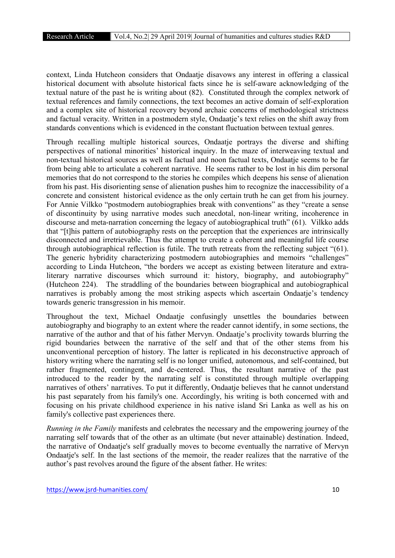context, Linda Hutcheon considers that Ondaatje disavows any interest in offering a classical historical document with absolute historical facts since he is self-aware acknowledging of the textual nature of the past he is writing about (82). Constituted through the complex network of textual references and family connections, the text becomes an active domain of self-exploration and a complex site of historical recovery beyond archaic concerns of methodological strictness and factual veracity. Written in a postmodern style, Ondaatje's text relies on the shift away from standards conventions which is evidenced in the constant fluctuation between textual genres.

Through recalling multiple historical sources, Ondaatje portrays the diverse and shifting perspectives of national minorities' historical inquiry. In the maze of interweaving textual and non-textual historical sources as well as factual and noon factual texts, Ondaatje seems to be far from being able to articulate a coherent narrative. He seems rather to be lost in his dim personal memories that do not correspond to the stories he compiles which deepens his sense of alienation from his past. His disorienting sense of alienation pushes him to recognize the inaccessibility of a concrete and consistent historical evidence as the only certain truth he can get from his journey. For Annie Vilkko "postmodern autobiographies break with conventions" as they "create a sense of discontinuity by using narrative modes such anecdotal, non-linear writing, incoherence in discourse and meta-narration concerning the legacy of autobiographical truth" (61). Vilkko adds that "[t]his pattern of autobiography rests on the perception that the experiences are intrinsically disconnected and irretrievable. Thus the attempt to create a coherent and meaningful life course through autobiographical reflection is futile. The truth retreats from the reflecting subject "(61). The generic hybridity characterizing postmodern autobiographies and memoirs "challenges" according to Linda Hutcheon, "the borders we accept as existing between literature and extraliterary narrative discourses which surround it: history, biography, and autobiography" (Hutcheon 224). The straddling of the boundaries between biographical and autobiographical narratives is probably among the most striking aspects which ascertain Ondaatje's tendency towards generic transgression in his memoir.

Throughout the text, Michael Ondaatje confusingly unsettles the boundaries between autobiography and biography to an extent where the reader cannot identify, in some sections, the narrative of the author and that of his father Mervyn. Ondaatje's proclivity towards blurring the rigid boundaries between the narrative of the self and that of the other stems from his unconventional perception of history. The latter is replicated in his deconstructive approach of history writing where the narrating self is no longer unified, autonomous, and self-contained, but rather fragmented, contingent, and de-centered. Thus, the resultant narrative of the past introduced to the reader by the narrating self is constituted through multiple overlapping narratives of others' narratives. To put it differently, Ondaatje believes that he cannot understand his past separately from his family's one. Accordingly, his writing is both concerned with and focusing on his private childhood experience in his native island Sri Lanka as well as his on family's collective past experiences there.

*Running in the Family* manifests and celebrates the necessary and the empowering journey of the narrating self towards that of the other as an ultimate (but never attainable) destination. Indeed, the narrative of Ondaatie's self gradually moves to become eventually the narrative of Mervyn Ondaatje's self. In the last sections of the memoir, the reader realizes that the narrative of the author's past revolves around the figure of the absent father. He writes: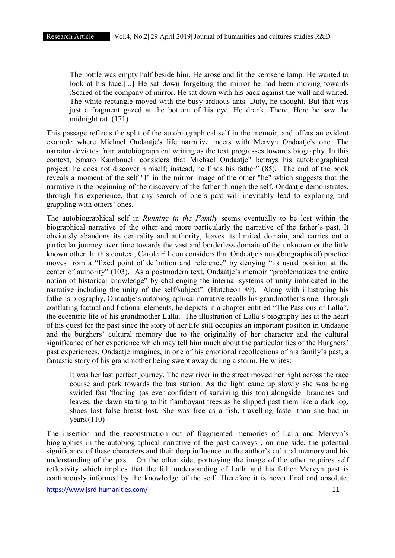The bottle was empty half beside him. He arose and lit the kerosene lamp. He wanted to look at his face.[...] He sat down forgetting the mirror he had been moving towards .Scared of the company of mirror. He sat down with his back against the wall and waited. The white rectangle moved with the busy arduous ants. Duty, he thought. But that was just a fragment gazed at the bottom of his eye. He drank. There. Here he saw the midnight rat. (171)

This passage reflects the split of the autobiographical self in the memoir, and offers an evident example where Michael Ondaatje's life narrative meets with Mervyn Ondaatje's one. The narrator deviates from autobiographical writing as the text progresses towards biography. In this context, Smaro Kamboueli considers that Michael Ondaatje" betrays his autobiographical project: he does not discover himself; instead, he finds his father" (85). The end of the book reveals a moment of the self "I" in the mirror image of the other "he" which suggests that the narrative is the beginning of the discovery of the father through the self. Ondaatje demonstrates, through his experience, that any search of one's past will inevitably lead to exploring and grappling with others' ones.

The autobiographical self in *Running in the Family* seems eventually to be lost within the biographical narrative of the other and more particularly the narrative of the father's past. It obviously abandons its centrality and authority, leaves its limited domain, and carries out a particular journey over time towards the vast and borderless domain of the unknown or the little known other. In this context, Carole E Leon considers that Ondaatje's auto(biographical) practice moves from a "fixed point of definition and reference" by denying "its usual position at the center of authority" (103). As a postmodern text, Ondaatje's memoir "problematizes the entire notion of historical knowledge" by challenging the internal systems of unity imbricated in the narrative including the unity of the self/subject". (Hutcheon 89). Along with illustrating his father's biography, Ondaatje's autobiographical narrative recalls his grandmother's one. Through conflating factual and fictional elements, he depicts in a chapter entitled "The Passions of Lalla", the eccentric life of his grandmother Lalla. The illustration of Lalla's biography lies at the heart of his quest for the past since the story of her life still occupies an important position in Ondaatje and the burghers' cultural memory due to the originality of her character and the cultural significance of her experience which may tell him much about the particularities of the Burghers' past experiences. Ondaatje imagines, in one of his emotional recollections of his family's past, a fantastic story of his grandmother being swept away during a storm. He writes:

It was her last perfect journey. The new river in the street moved her right across the race course and park towards the bus station. As the light came up slowly she was being swirled fast 'floating' (as ever confident of surviving this too) alongside branches and leaves, the dawn starting to hit flamboyant trees as he slipped past them like a dark log, shoes lost false breast lost. She was free as a fish, travelling faster than she had in years. $(110)$ 

The insertion and the reconstruction out of fragmented memories of Lalla and Mervyn's biographies in the autobiographical narrative of the past conveys , on one side, the potential significance of these characters and their deep influence on the author's cultural memory and his understanding of the past. On the other side, portraying the image of the other requires self reflexivity which implies that the full understanding of Lalla and his father Mervyn past is continuously informed by the knowledge of the self. Therefore it is never final and absolute.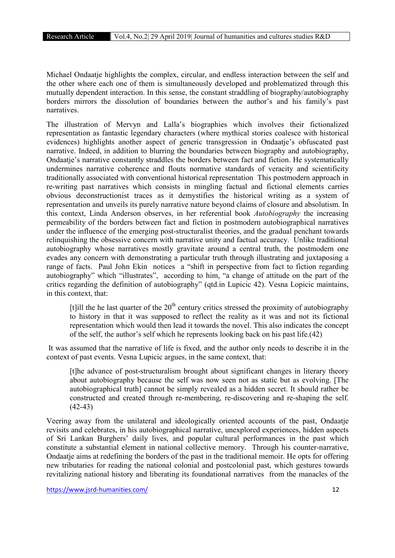Michael Ondaatje highlights the complex, circular, and endless interaction between the self and the other where each one of them is simultaneously developed and problematized through this mutually dependent interaction. In this sense, the constant straddling of biography/autobiography borders mirrors the dissolution of boundaries between the author's and his family's past narratives.

The illustration of Mervyn and Lalla's biographies which involves their fictionalized representation as fantastic legendary characters (where mythical stories coalesce with historical evidences) highlights another aspect of generic transgression in Ondaatje's obfuscated past narrative. Indeed, in addition to blurring the boundaries between biography and autobiography, Ondaatje's narrative constantly straddles the borders between fact and fiction. He systematically undermines narrative coherence and flouts normative standards of veracity and scientificity traditionally associated with conventional historical representation This postmodern approach in re-writing past narratives which consists in mingling factual and fictional elements carries obvious deconstructionist traces as it demystifies the historical writing as a system of representation and unveils its purely narrative nature beyond claims of closure and absolutism. In this context, Linda Anderson observes, in her referential book *Autobiography* the increasing permeability of the borders between fact and fiction in postmodern autobiographical narratives under the influence of the emerging post-structuralist theories, and the gradual penchant towards relinquishing the obsessive concern with narrative unity and factual accuracy. Unlike traditional autobiography whose narratives mostly gravitate around a central truth, the postmodern one evades any concern with demonstrating a particular truth through illustrating and juxtaposing a range of facts. Paul John Ekin notices a "shift in perspective from fact to fiction regarding autobiography" which "illustrates", according to him, "a change of attitude on the part of the critics regarding the definition of autobiography" (qtd.in Lupicic 42). Vesna Lopicic maintains, in this context, that:

[t]ill the he last quarter of the  $20<sup>th</sup>$  century critics stressed the proximity of autobiography to history in that it was supposed to reflect the reality as it was and not its fictional representation which would then lead it towards the novel. This also indicates the concept of the self, the author's self which he represents looking back on his past life.(42)

It was assumed that the narrative of life is fixed, and the author only needs to describe it in the context of past events. Vesna Lupicic argues, in the same context, that:

[t]he advance of post-structuralism brought about significant changes in literary theory about autobiography because the self was now seen not as static but as evolving. [The autobiographical truth] cannot be simply revealed as a hidden secret. It should rather be constructed and created through re-membering, re-discovering and re-shaping the self. (42-43)

Veering away from the unilateral and ideologically oriented accounts of the past, Ondaatje revisits and celebrates, in his autobiographical narrative, unexplored experiences, hidden aspects of Sri Lankan Burghers' daily lives, and popular cultural performances in the past which constitute a substantial element in national collective memory. Through his counter-narrative, Ondaatje aims at redefining the borders of the past in the traditional memoir. He opts for offering new tributaries for reading the national colonial and postcolonial past, which gestures towards revitalizing national history and liberating its foundational narratives from the manacles of the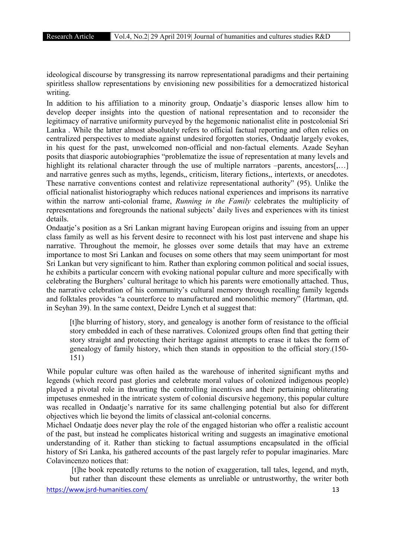ideological discourse by transgressing its narrow representational paradigms and their pertaining spiritless shallow representations by envisioning new possibilities for a democratized historical writing.

In addition to his affiliation to a minority group, Ondaatje's diasporic lenses allow him to develop deeper insights into the question of national representation and to reconsider the legitimacy of narrative uniformity purveyed by the hegemonic nationalist elite in postcolonial Sri Lanka . While the latter almost absolutely refers to official factual reporting and often relies on centralized perspectives to mediate against undesired forgotten stories, Ondaatje largely evokes, in his quest for the past, unwelcomed non-official and non-factual elements. Azade Seyhan posits that diasporic autobiographies "problematize the issue of representation at many levels and highlight its relational character through the use of multiple narrators –parents, ancestors[...] and narrative genres such as myths, legends, criticism, literary fictions,, intertexts, or anecdotes. These narrative conventions contest and relativize representational authority" (95). Unlike the official nationalist historiography which reduces national experiences and imprisons its narrative within the narrow anti-colonial frame, *Running in the Family* celebrates the multiplicity of representations and foregrounds the national subjects' daily lives and experiences with its tiniest details.

Ondaatje's position as a Sri Lankan migrant having European origins and issuing from an upper class family as well as his fervent desire to reconnect with his lost past intervene and shape his narrative. Throughout the memoir, he glosses over some details that may have an extreme importance to most Sri Lankan and focuses on some others that may seem unimportant for most Sri Lankan but very significant to him. Rather than exploring common political and social issues, he exhibits a particular concern with evoking national popular culture and more specifically with celebrating the Burghers' cultural heritage to which his parents were emotionally attached. Thus, the narrative celebration of his community's cultural memory through recalling family legends and folktales provides "a counterforce to manufactured and monolithic memory" (Hartman, qtd. in Seyhan 39). In the same context, Deidre Lynch et al suggest that:

[t]he blurring of history, story, and genealogy is another form of resistance to the official story embedded in each of these narratives. Colonized groups often find that getting their story straight and protecting their heritage against attempts to erase it takes the form of genealogy of family history, which then stands in opposition to the official story.(150- 151)

While popular culture was often hailed as the warehouse of inherited significant myths and legends (which record past glories and celebrate moral values of colonized indigenous people) played a pivotal role in thwarting the controlling incentives and their pertaining obliterating impetuses enmeshed in the intricate system of colonial discursive hegemony, this popular culture was recalled in Ondaatje's narrative for its same challenging potential but also for different objectives which lie beyond the limits of classical ant-colonial concerns.

Michael Ondaatje does never play the role of the engaged historian who offer a realistic account of the past, but instead he complicates historical writing and suggests an imaginative emotional understanding of it. Rather than sticking to factual assumptions encapsulated in the official history of Sri Lanka, his gathered accounts of the past largely refer to popular imaginaries. Marc Colavincenzo notices that:

[t]he book repeatedly returns to the notion of exaggeration, tall tales, legend, and myth, but rather than discount these elements as unreliable or untrustworthy, the writer both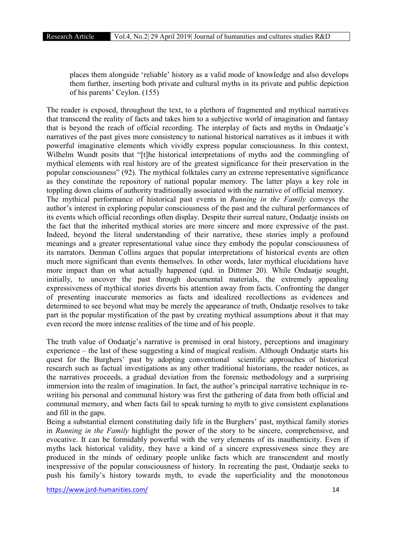places them alongside 'reliable' history as a valid mode of knowledge and also develops them further, inserting both private and cultural myths in its private and public depiction of his parents' Ceylon. (155)

The reader is exposed, throughout the text, to a plethora of fragmented and mythical narratives that transcend the reality of facts and takes him to a subjective world of imagination and fantasy that is beyond the reach of official recording. The interplay of facts and myths in Ondaatje's narratives of the past gives more consistency to national historical narratives as it imbues it with powerful imaginative elements which vividly express popular consciousness. In this context, Wilhelm Wundt posits that "[t]he historical interpretations of myths and the commingling of mythical elements with real history are of the greatest significance for their preservation in the popular consciousness" (92). The mythical folktales carry an extreme representative significance as they constitute the repository of national popular memory. The latter plays a key role in toppling down claims of authority traditionally associated with the narrative of official memory. The mythical performance of historical past events in *Running in the Family* conveys the author's interest in exploring popular consciousness of the past and the cultural performances of its events which official recordings often display. Despite their surreal nature, Ondaatje insists on the fact that the inherited mythical stories are more sincere and more expressive of the past. Indeed, beyond the literal understanding of their narrative, these stories imply a profound meanings and a greater representational value since they embody the popular consciousness of its narrators. Denman Collins argues that popular interpretations of historical events are often much more significant than events themselves. In other words, later mythical elucidations have more impact than on what actually happened (qtd. in Dittmer 20). While Ondaatje sought, initially, to uncover the past through documental materials, the extremely appealing expressiveness of mythical stories diverts his attention away from facts. Confronting the danger of presenting inaccurate memories as facts and idealized recollections as evidences and determined to see beyond what may be merely the appearance of truth, Ondaatje resolves to take part in the popular mystification of the past by creating mythical assumptions about it that may even record the more intense realities of the time and of his people.

The truth value of Ondaatje's narrative is premised in oral history, perceptions and imaginary experience – the last of these suggesting a kind of magical realism. Although Ondaatje starts his quest for the Burghers' past by adopting conventional scientific approaches of historical research such as factual investigations as any other traditional historians, the reader notices, as the narratives proceeds, a gradual deviation from the forensic methodology and a surprising immersion into the realm of imagination. In fact, the author's principal narrative technique in rewriting his personal and communal history was first the gathering of data from both official and communal memory, and when facts fail to speak turning to myth to give consistent explanations and fill in the gaps.

Being a substantial element constituting daily life in the Burghers' past, mythical family stories in *Running in the Family* highlight the power of the story to be sincere, comprehensive, and evocative. It can be formidably powerful with the very elements of its inauthenticity. Even if myths lack historical validity, they have a kind of a sincere expressiveness since they are produced in the minds of ordinary people unlike facts which are transcendent and mostly inexpressive of the popular consciousness of history. In recreating the past, Ondaatje seeks to push his family's history towards myth, to evade the superficiality and the monotonous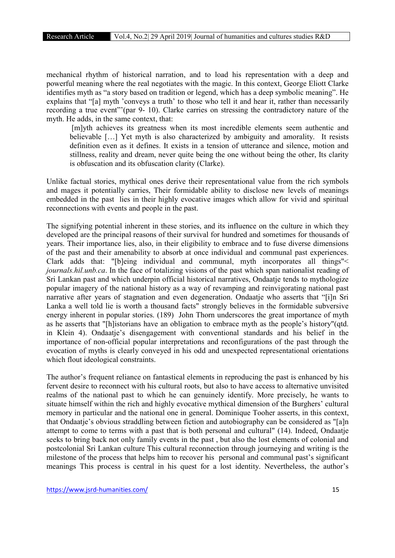mechanical rhythm of historical narration, and to load his representation with a deep and powerful meaning where the real negotiates with the magic. In this context, George Eliott Clarke identifies myth as "a story based on tradition or legend, which has a deep symbolic meaning". He explains that "[a] myth 'conveys a truth' to those who tell it and hear it, rather than necessarily recording a true event"'(par 9- 10). Clarke carries on stressing the contradictory nature of the myth. He adds, in the same context, that:

[m]yth achieves its greatness when its most incredible elements seem authentic and believable […] Yet myth is also characterized by ambiguity and amorality. It resists definition even as it defines. It exists in a tension of utterance and silence, motion and stillness, reality and dream, never quite being the one without being the other, Its clarity is obfuscation and its obfuscation clarity (Clarke).

Unlike factual stories, mythical ones derive their representational value from the rich symbols and mages it potentially carries, Their formidable ability to disclose new levels of meanings embedded in the past lies in their highly evocative images which allow for vivid and spiritual reconnections with events and people in the past.

The signifying potential inherent in these stories, and its influence on the culture in which they developed are the principal reasons of their survival for hundred and sometimes for thousands of years. Their importance lies, also, in their eligibility to embrace and to fuse diverse dimensions of the past and their amenability to absorb at once individual and communal past experiences. Clark adds that: "[b]eing individual and communal, myth incorporates all things"< *journals.hil.unb.ca*. In the face of totalizing visions of the past which span nationalist reading of Sri Lankan past and which underpin official historical narratives, Ondaatje tends to mythologize popular imagery of the national history as a way of revamping and reinvigorating national past narrative after years of stagnation and even degeneration. Ondaatje who asserts that "[i]n Sri Lanka a well told lie is worth a thousand facts" strongly believes in the formidable subversive energy inherent in popular stories. (189) John Thorn underscores the great importance of myth as he asserts that "[h]istorians have an obligation to embrace myth as the people's history"(qtd. in Klein 4). Ondaatje's disengagement with conventional standards and his belief in the importance of non-official popular interpretations and reconfigurations of the past through the evocation of myths is clearly conveyed in his odd and unexpected representational orientations which flout ideological constraints.

The author's frequent reliance on fantastical elements in reproducing the past is enhanced by his fervent desire to reconnect with his cultural roots, but also to have access to alternative unvisited realms of the national past to which he can genuinely identify. More precisely, he wants to situate himself within the rich and highly evocative mythical dimension of the Burghers' cultural memory in particular and the national one in general. Dominique Tooher asserts, in this context, that Ondaatje's obvious straddling between fiction and autobiography can be considered as "[a]n attempt to come to terms with a past that is both personal and cultural" (14). Indeed, Ondaatje seeks to bring back not only family events in the past , but also the lost elements of colonial and postcolonial Sri Lankan culture This cultural reconnection through journeying and writing is the milestone of the process that helps him to recover his personal and communal past's significant meanings This process is central in his quest for a lost identity. Nevertheless, the author's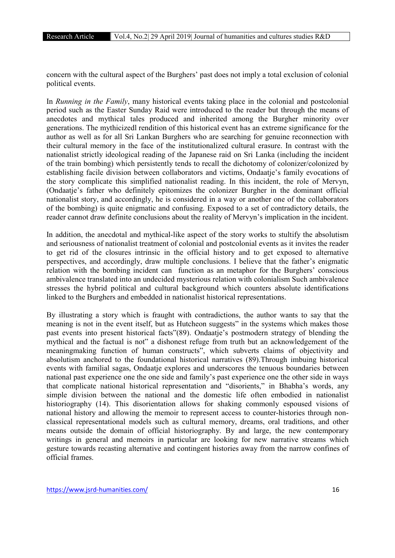concern with the cultural aspect of the Burghers' past does not imply a total exclusion of colonial political events.

In *Running in the Family*, many historical events taking place in the colonial and postcolonial period such as the Easter Sunday Raid were introduced to the reader but through the means of anecdotes and mythical tales produced and inherited among the Burgher minority over generations. The mythicizedl rendition of this historical event has an extreme significance for the author as well as for all Sri Lankan Burghers who are searching for genuine reconnection with their cultural memory in the face of the institutionalized cultural erasure. In contrast with the nationalist strictly ideological reading of the Japanese raid on Sri Lanka (including the incident of the train bombing) which persistently tends to recall the dichotomy of colonizer/colonized by establishing facile division between collaborators and victims. Ondaatie's family evocations of the story complicate this simplified nationalist reading. In this incident, the role of Mervyn, (Ondaatje's father who definitely epitomizes the colonizer Burgher in the dominant official nationalist story, and accordingly, he is considered in a way or another one of the collaborators of the bombing) is quite enigmatic and confusing. Exposed to a set of contradictory details, the reader cannot draw definite conclusions about the reality of Mervyn's implication in the incident.

In addition, the anecdotal and mythical-like aspect of the story works to stultify the absolutism and seriousness of nationalist treatment of colonial and postcolonial events as it invites the reader to get rid of the closures intrinsic in the official history and to get exposed to alternative perspectives, and accordingly, draw multiple conclusions. I believe that the father's enigmatic relation with the bombing incident can function as an metaphor for the Burghers' conscious ambivalence translated into an undecided mysterious relation with colonialism Such ambivalence stresses the hybrid political and cultural background which counters absolute identifications linked to the Burghers and embedded in nationalist historical representations.

By illustrating a story which is fraught with contradictions, the author wants to say that the meaning is not in the event itself, but as Hutcheon suggests" in the systems which makes those past events into present historical facts"(89). Ondaatje's postmodern strategy of blending the mythical and the factual is not" a dishonest refuge from truth but an acknowledgement of the meaningmaking function of human constructs", which subverts claims of objectivity and absolutism anchored to the foundational historical narratives (89).Through imbuing historical events with familial sagas, Ondaatje explores and underscores the tenuous boundaries between national past experience one the one side and family's past experience one the other side in ways that complicate national historical representation and "disorients," in Bhabha's words, any simple division between the national and the domestic life often embodied in nationalist historiography (14). This disorientation allows for shaking commonly espoused visions of national history and allowing the memoir to represent access to counter-histories through nonclassical representational models such as cultural memory, dreams, oral traditions, and other means outside the domain of official historiography. By and large, the new contemporary writings in general and memoirs in particular are looking for new narrative streams which gesture towards recasting alternative and contingent histories away from the narrow confines of official frames.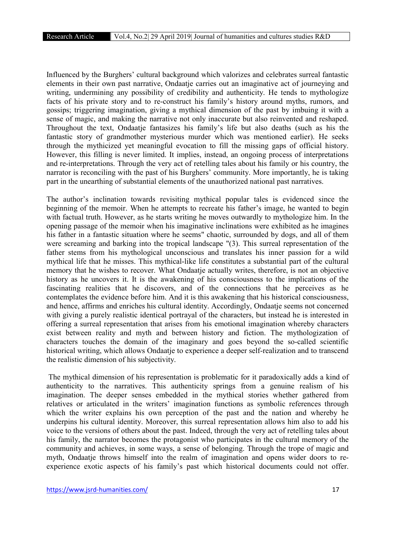Influenced by the Burghers' cultural background which valorizes and celebrates surreal fantastic elements in their own past narrative, Ondaatje carries out an imaginative act of journeying and writing, undermining any possibility of credibility and authenticity. He tends to mythologize facts of his private story and to re-construct his family's history around myths, rumors, and gossips; triggering imagination, giving a mythical dimension of the past by imbuing it with a sense of magic, and making the narrative not only inaccurate but also reinvented and reshaped. Throughout the text, Ondaatje fantasizes his family's life but also deaths (such as his the fantastic story of grandmother mysterious murder which was mentioned earlier). He seeks through the mythicized yet meaningful evocation to fill the missing gaps of official history. However, this filling is never limited. It implies, instead, an ongoing process of interpretations and re-interpretations. Through the very act of retelling tales about his family or his country, the narrator is reconciling with the past of his Burghers' community. More importantly, he is taking part in the unearthing of substantial elements of the unauthorized national past narratives.

The author's inclination towards revisiting mythical popular tales is evidenced since the beginning of the memoir. When he attempts to recreate his father's image, he wanted to begin with factual truth. However, as he starts writing he moves outwardly to mythologize him. In the opening passage of the memoir when his imaginative inclinations were exhibited as he imagines his father in a fantastic situation where he seems" chaotic, surrounded by dogs, and all of them were screaming and barking into the tropical landscape "(3). This surreal representation of the father stems from his mythological unconscious and translates his inner passion for a wild mythical life that he misses. This mythical-like life constitutes a substantial part of the cultural memory that he wishes to recover. What Ondaatje actually writes, therefore, is not an objective history as he uncovers it. It is the awakening of his consciousness to the implications of the fascinating realities that he discovers, and of the connections that he perceives as he contemplates the evidence before him. And it is this awakening that his historical consciousness, and hence, affirms and enriches his cultural identity. Accordingly, Ondaatje seems not concerned with giving a purely realistic identical portrayal of the characters, but instead he is interested in offering a surreal representation that arises from his emotional imagination whereby characters exist between reality and myth and between history and fiction. The mythologization of characters touches the domain of the imaginary and goes beyond the so-called scientific historical writing, which allows Ondaatje to experience a deeper self-realization and to transcend the realistic dimension of his subjectivity.

The mythical dimension of his representation is problematic for it paradoxically adds a kind of authenticity to the narratives. This authenticity springs from a genuine realism of his imagination. The deeper senses embedded in the mythical stories whether gathered from relatives or articulated in the writers' imagination functions as symbolic references through which the writer explains his own perception of the past and the nation and whereby he underpins his cultural identity. Moreover, this surreal representation allows him also to add his voice to the versions of others about the past. Indeed, through the very act of retelling tales about his family, the narrator becomes the protagonist who participates in the cultural memory of the community and achieves, in some ways, a sense of belonging. Through the trope of magic and myth, Ondaatje throws himself into the realm of imagination and opens wider doors to reexperience exotic aspects of his family's past which historical documents could not offer.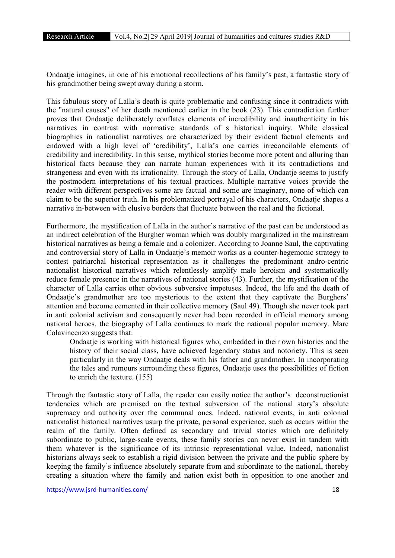Ondaatje imagines, in one of his emotional recollections of his family's past, a fantastic story of his grandmother being swept away during a storm.

This fabulous story of Lalla's death is quite problematic and confusing since it contradicts with the "natural causes" of her death mentioned earlier in the book (23). This contradiction further proves that Ondaatje deliberately conflates elements of incredibility and inauthenticity in his narratives in contrast with normative standards of s historical inquiry. While classical biographies in nationalist narratives are characterized by their evident factual elements and endowed with a high level of 'credibility', Lalla's one carries irreconcilable elements of credibility and incredibility. In this sense, mythical stories become more potent and alluring than historical facts because they can narrate human experiences with it its contradictions and strangeness and even with its irrationality. Through the story of Lalla, Ondaatie seems to justify the postmodern interpretations of his textual practices. Multiple narrative voices provide the reader with different perspectives some are factual and some are imaginary, none of which can claim to be the superior truth. In his problematized portrayal of his characters, Ondaatje shapes a narrative in-between with elusive borders that fluctuate between the real and the fictional.

Furthermore, the mystification of Lalla in the author's narrative of the past can be understood as an indirect celebration of the Burgher woman which was doubly marginalized in the mainstream historical narratives as being a female and a colonizer. According to Joanne Saul, the captivating and controversial story of Lalla in Ondaatje's memoir works as a counter-hegemonic strategy to contest patriarchal historical representation as it challenges the predominant andro-centric nationalist historical narratives which relentlessly amplify male heroism and systematically reduce female presence in the narratives of national stories (43). Further, the mystification of the character of Lalla carries other obvious subversive impetuses. Indeed, the life and the death of Ondaatje's grandmother are too mysterious to the extent that they captivate the Burghers' attention and become cemented in their collective memory (Saul 49). Though she never took part in anti colonial activism and consequently never had been recorded in official memory among national heroes, the biography of Lalla continues to mark the national popular memory. Marc Colavincenzo suggests that:

Ondaatje is working with historical figures who, embedded in their own histories and the history of their social class, have achieved legendary status and notoriety. This is seen particularly in the way Ondaatje deals with his father and grandmother. In incorporating the tales and rumours surrounding these figures, Ondaatje uses the possibilities of fiction to enrich the texture. (155)

Through the fantastic story of Lalla, the reader can easily notice the author's deconstructionist tendencies which are premised on the textual subversion of the national story's absolute supremacy and authority over the communal ones. Indeed, national events, in anti colonial nationalist historical narratives usurp the private, personal experience, such as occurs within the realm of the family. Often defined as secondary and trivial stories which are definitely subordinate to public, large-scale events, these family stories can never exist in tandem with them whatever is the significance of its intrinsic representational value. Indeed, nationalist historians always seek to establish a rigid division between the private and the public sphere by keeping the family's influence absolutely separate from and subordinate to the national, thereby creating a situation where the family and nation exist both in opposition to one another and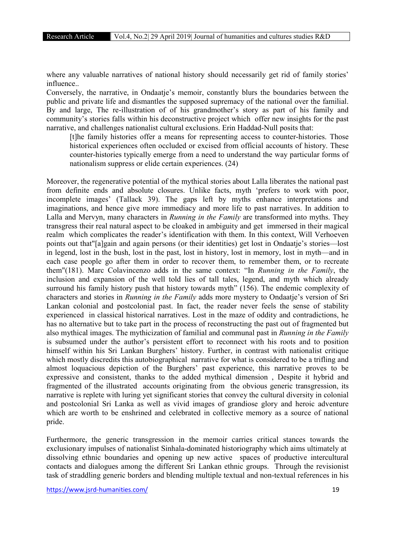where any valuable narratives of national history should necessarily get rid of family stories' influence..

Conversely, the narrative, in Ondaatje's memoir, constantly blurs the boundaries between the public and private life and dismantles the supposed supremacy of the national over the familial. By and large, The re-illustration of of his grandmother's story as part of his family and community's stories falls within his deconstructive project which offer new insights for the past narrative, and challenges nationalist cultural exclusions. Erin Haddad-Null posits that:

[t]he family histories offer a means for representing access to counter-histories. Those historical experiences often occluded or excised from official accounts of history. These counter-histories typically emerge from a need to understand the way particular forms of nationalism suppress or elide certain experiences. (24)

Moreover, the regenerative potential of the mythical stories about Lalla liberates the national past from definite ends and absolute closures. Unlike facts, myth 'prefers to work with poor, incomplete images' (Tallack 39). The gaps left by myths enhance interpretations and imaginations, and hence give more immediacy and more life to past narratives. In addition to Lalla and Mervyn, many characters in *Running in the Family* are transformed into myths. They transgress their real natural aspect to be cloaked in ambiguity and get immersed in their magical realm which complicates the reader's identification with them. In this context, Will Verhoeven points out that"[a]gain and again persons (or their identities) get lost in Ondaatje's stories—lost in legend, lost in the bush, lost in the past, lost in history, lost in memory, lost in myth—and in each case people go after them in order to recover them, to remember them, or to recreate them"(181). Marc Colavincenzo adds in the same context: "In *Running in the Family*, the inclusion and expansion of the well told lies of tall tales, legend, and myth which already surround his family history push that history towards myth" (156). The endemic complexity of characters and stories in *Running in the Family* adds more mystery to Ondaatje's version of Sri Lankan colonial and postcolonial past. In fact, the reader never feels the sense of stability experienced in classical historical narratives. Lost in the maze of oddity and contradictions, he has no alternative but to take part in the process of reconstructing the past out of fragmented but also mythical images. The mythicization of familial and communal past in *Running in the Family* is subsumed under the author's persistent effort to reconnect with his roots and to position himself within his Sri Lankan Burghers' history. Further, in contrast with nationalist critique which mostly discredits this autobiographical narrative for what is considered to be a trifling and almost loquacious depiction of the Burghers' past experience, this narrative proves to be expressive and consistent, thanks to the added mythical dimension , Despite it hybrid and fragmented of the illustrated accounts originating from the obvious generic transgression, its narrative is replete with luring yet significant stories that convey the cultural diversity in colonial and postcolonial Sri Lanka as well as vivid images of grandiose glory and heroic adventure which are worth to be enshrined and celebrated in collective memory as a source of national pride.

Furthermore, the generic transgression in the memoir carries critical stances towards the exclusionary impulses of nationalist Sinhala-dominated historiography which aims ultimately at dissolving ethnic boundaries and opening up new active spaces of productive intercultural contacts and dialogues among the different Sri Lankan ethnic groups. Through the revisionist task of straddling generic borders and blending multiple textual and non-textual references in his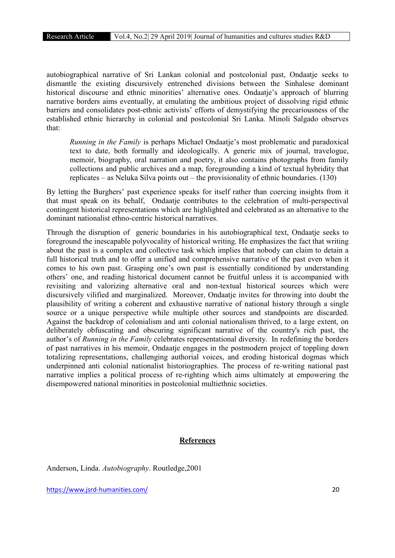autobiographical narrative of Sri Lankan colonial and postcolonial past, Ondaatje seeks to dismantle the existing discursively entrenched divisions between the Sinhalese dominant historical discourse and ethnic minorities' alternative ones. Ondaatie's approach of blurring narrative borders aims eventually, at emulating the ambitious project of dissolving rigid ethnic barriers and consolidates post-ethnic activists' efforts of demystifying the precariousness of the established ethnic hierarchy in colonial and postcolonial Sri Lanka. Minoli Salgado observes that:

*Running in the Family* is perhaps Michael Ondaatje's most problematic and paradoxical text to date, both formally and ideologically. A generic mix of journal, travelogue, memoir, biography, oral narration and poetry, it also contains photographs from family collections and public archives and a map, foregrounding a kind of textual hybridity that replicates – as Neluka Silva points out – the provisionality of ethnic boundaries. (130)

By letting the Burghers' past experience speaks for itself rather than coercing insights from it that must speak on its behalf, Ondaatje contributes to the celebration of multi-perspectival contingent historical representations which are highlighted and celebrated as an alternative to the dominant nationalist ethno-centric historical narratives.

Through the disruption of generic boundaries in his autobiographical text, Ondaatje seeks to foreground the inescapable polyvocality of historical writing. He emphasizes the fact that writing about the past is a complex and collective task which implies that nobody can claim to detain a full historical truth and to offer a unified and comprehensive narrative of the past even when it comes to his own past. Grasping one's own past is essentially conditioned by understanding others' one, and reading historical document cannot be fruitful unless it is accompanied with revisiting and valorizing alternative oral and non-textual historical sources which were discursively vilified and marginalized. Moreover, Ondaatje invites for throwing into doubt the plausibility of writing a coherent and exhaustive narrative of national history through a single source or a unique perspective while multiple other sources and standpoints are discarded. Against the backdrop of colonialism and anti colonial nationalism thrived, to a large extent, on deliberately obfuscating and obscuring significant narrative of the country's rich past, the author's of *Running in the Family* celebrates representational diversity. In redefining the borders of past narratives in his memoir, Ondaatje engages in the postmodern project of toppling down totalizing representations, challenging authorial voices, and eroding historical dogmas which underpinned anti colonial nationalist historiographies. The process of re-writing national past narrative implies a political process of re-righting which aims ultimately at empowering the disempowered national minorities in postcolonial multiethnic societies.

## References

Anderson, Linda. *Autobiography*. Routledge,2001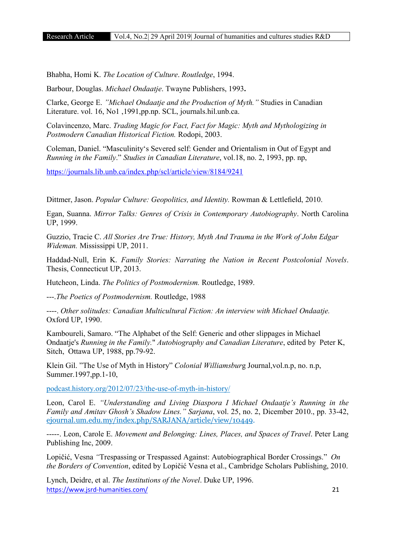Bhabha, Homi K. *The Location of Culture*. *Routledge*, 1994.

Barbour, Douglas. *Michael Ondaatje*. Twayne Publishers, 1993.

Clarke, George E. *"Michael Ondaatje and the Production of Myth."* Studies in Canadian Literature. vol. 16, No1 ,1991,pp.np. SCL, journals.hil.unb.ca.

Colavincenzo, Marc. *Trading Magic for Fact, Fact for Magic: Myth and Mythologizing in Postmodern Canadian Historical Fiction.* Rodopi, 2003.

Coleman, Daniel. "Masculinity's Severed self: Gender and Orientalism in Out of Egypt and *Running in the Family*." *Studies in Canadian Literature*, vol.18, no. 2, 1993, pp. np,

https://journals.lib.unb.ca/index.php/scl/article/view/8184/9241

Dittmer, Jason. *Popular Culture: Geopolitics, and Identity.* Rowman & Lettlefield, 2010.

Egan, Suanna. *Mirror Talks: Genres of Crisis in Contemporary Autobiography*. North Carolina UP, 1999.

Guzzio, Tracie C. *All Stories Are True: History, Myth And Trauma in the Work of John Edgar Wideman.* Mississippi UP, 2011.

Haddad-Null, Erin K. *Family Stories: Narrating the Nation in Recent Postcolonial Novels*. Thesis, Connecticut UP, 2013.

Hutcheon, Linda. *The Politics of Postmodernism.* Routledge, 1989.

---.*The Poetics of Postmodernism.* Routledge, 1988

----. *Other solitudes: Canadian Multicultural Fiction: An interview with Michael Ondaatje.*  Oxford UP, 1990.

Kamboureli, Samaro. "The Alphabet of the Self: Generic and other slippages in Michael Ondaatje's *Running in the Family.*" *Autobiography and Canadian Literature*, edited by Peter K, Sitch, Ottawa UP, 1988, pp.79-92.

Klein Gil. "The Use of Myth in History" *Colonial Williamsbur*g Journal,vol.n.p, no. n.p, Summer.1997,pp.1-10,

podcast.history.org/2012/07/23/the-use-of-myth-in-history/

Leon, Carol E. *"Understanding and Living Diaspora I Michael Ondaatje's Running in the Family and Amitav Ghosh's Shadow Lines." Sarjana*, vol. 25, no. 2, Dicember 2010., pp. 33-42, ejournal.um.edu.my/index.php/SARJANA/article/view/10449.

-----. Leon, Carole E. *Movement and Belonging: Lines, Places, and Spaces of Travel*. Peter Lang Publishing Inc, 2009.

Lopičić, Vesna *"*Trespassing or Trespassed Against: Autobiographical Border Crossings." *On the Borders of Convention*, edited by Lopičić Vesna et al., Cambridge Scholars Publishing, 2010.

https://www.jsrd-humanities.com/ 21 Lynch, Deidre, et al. *The Institutions of the Novel*. Duke UP, 1996.